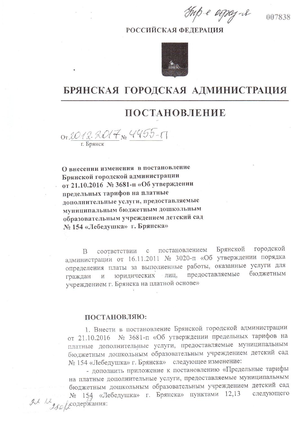Tup e apaj-il

## **РОССИЙСКАЯ ФЕЛЕРАЦИЯ**



## БРЯНСКАЯ ГОРОДСКАЯ АДМИНИСТРАЦИЯ

## **ПОСТАНОВЛЕНИЕ**

OT 2012- 2017 No 4455-17

О внесении изменения в постановление Брянской городской администрации от 21.10.2016 № 3681-п «Об утверждении предельных тарифов на платные дополнительные услуги, предоставляемые муниципальным бюджетным дошкольным образовательным учреждением детский сад № 154 «Лебедушка» г. Брянска»

Брянской городской постановлением соответствии  $\mathbf C$ B администрации от 16.11.2011 № 3020-п «Об утверждении порядка определения платы за выполненные работы, оказанные услуги для предоставляемые бюджетным юридических лиц, граждан  $\overline{\text{M}}$ учреждением г. Брянска на платной основе»

## ПОСТАНОВЛЯЮ:

1. Внести в постановление Брянской городской администрации от 21.10.2016 № 3681-п «Об утверждении предельных тарифов на платные дополнительные услуги, предоставляемые муниципальным бюджетным дошкольным образовательным учреждением детский сад № 154 «Лебедушка» г. Брянска» следующее изменение:

- дополнить приложение к постановлению «Предельные тарифы на платные дополнительные услуги, предоставляемые муниципальным бюджетным дошкольным образовательным учреждением детский сад 154 «Лебедушка» г. Брянска» пунктами 12,13 следующего  $24$   $12$   $280$   $200$  держания:

007838